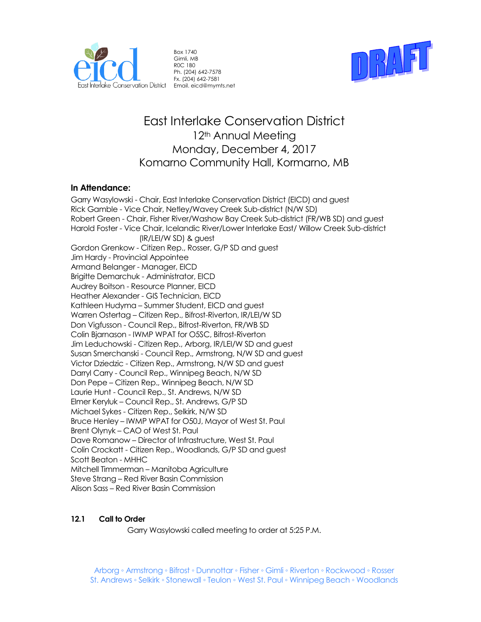

Box 1740 Gimli, MB R0C 1B0 Ph. (204) 642-7578 Fx. (204) 642-7581



# East Interlake Conservation District 12<sup>th</sup> Annual Meeting Monday, December 4, 2017 Komarno Community Hall, Kormarno, MB

# **In Attendance:**

Garry Wasylowski - Chair, East Interlake Conservation District (EICD) and guest Rick Gamble - Vice Chair, Netley/Wavey Creek Sub-district (N/W SD) Robert Green - Chair, Fisher River/Washow Bay Creek Sub-district (FR/WB SD) and guest Harold Foster - Vice Chair, Icelandic River/Lower Interlake East/ Willow Creek Sub-district (IR/LEI/W SD) & guest Gordon Grenkow - Citizen Rep., Rosser, G/P SD and guest Jim Hardy - Provincial Appointee Armand Belanger - Manager, EICD Brigitte Demarchuk - Administrator, EICD Audrey Boitson - Resource Planner, EICD Heather Alexander - GIS Technician, EICD Kathleen Hudyma – Summer Student, EICD and guest Warren Ostertag – Citizen Rep., Bifrost-Riverton, IR/LEI/W SD Don Vigfusson - Council Rep., Bifrost-Riverton, FR/WB SD Colin Bjarnason - IWMP WPAT for O5SC, Bifrost-Riverton Jim Leduchowski - Citizen Rep., Arborg, IR/LEI/W SD and guest Susan Smerchanski - Council Rep., Armstrong, N/W SD and guest Victor Dziedzic - Citizen Rep., Armstrong, N/W SD and guest Darryl Carry - Council Rep., Winnipeg Beach, N/W SD Don Pepe – Citizen Rep., Winnipeg Beach, N/W SD Laurie Hunt - Council Rep., St. Andrews, N/W SD Elmer Keryluk – Council Rep., St. Andrews, G/P SD Michael Sykes - Citizen Rep., Selkirk, N/W SD Bruce Henley – IWMP WPAT for O50J, Mayor of West St. Paul Brent Olynyk – CAO of West St. Paul Dave Romanow – Director of Infrastructure, West St. Paul Colin Crockatt - Citizen Rep., Woodlands, G/P SD and guest Scott Beaton - MHHC Mitchell Timmerman – Manitoba Agriculture Steve Strang – Red River Basin Commission Alison Sass – Red River Basin Commission

## **12.1 Call to Order**

Garry Wasylowski called meeting to order at 5:25 P.M.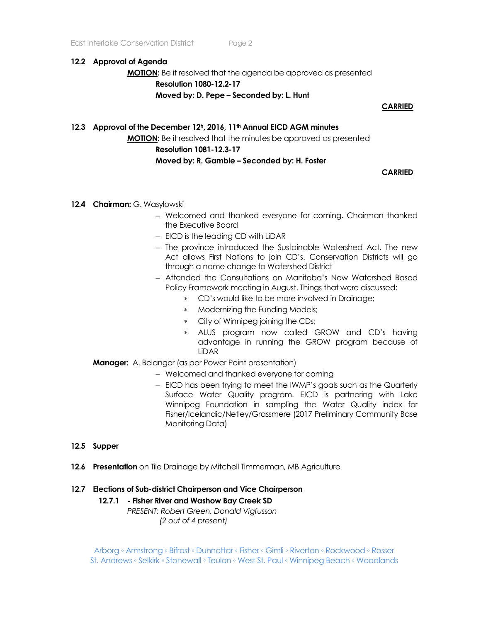#### **12.2 Approval of Agenda**

**MOTION:** Be it resolved that the agenda be approved as presented **Resolution 1080-12.2-17 Moved by: D. Pepe – Seconded by: L. Hunt**

#### **CARRIED**

#### **12.3 Approval of the December 12h, 2016, 11th Annual EICD AGM minutes**

**MOTION:** Be it resolved that the minutes be approved as presented

#### **Resolution 1081-12.3-17**

## **Moved by: R. Gamble – Seconded by: H. Foster**

## **CARRIED**

- **12.4 Chairman:** G. Wasylowski
	- Welcomed and thanked everyone for coming. Chairman thanked the Executive Board
	- $-$  EICD is the leading CD with LiDAR
	- The province introduced the Sustainable Watershed Act. The new Act allows First Nations to join CD's. Conservation Districts will go through a name change to Watershed District
	- Attended the Consultations on Manitoba's New Watershed Based Policy Framework meeting in August. Things that were discussed:
		- CD's would like to be more involved in Drainage;
		- \* Modernizing the Funding Models;
		- City of Winnipeg joining the CDs;
		- ALUS program now called GROW and CD's having advantage in running the GROW program because of LiDAR
	- **Manager:** A. Belanger (as per Power Point presentation)
		- Welcomed and thanked everyone for coming
		- EICD has been trying to meet the IWMP's goals such as the Quarterly Surface Water Quality program. EICD is partnering with Lake Winnipeg Foundation in sampling the Water Quality index for Fisher/Icelandic/Netley/Grassmere (2017 Preliminary Community Base Monitoring Data)

## **12.5 Supper**

**12.6 Presentation** on Tile Drainage by Mitchell Timmerman, MB Agriculture

#### **12.7 Elections of Sub-district Chairperson and Vice Chairperson**

#### **12.7.1 - Fisher River and Washow Bay Creek SD**

*PRESENT: Robert Green, Donald Vigfusson (2 out of 4 present)*

Arborg ◦ Armstrong ◦ Bifrost ◦ Dunnottar ◦ Fisher ◦ Gimli ◦ Riverton ◦ Rockwood ◦ Rosser St. Andrews ◦ Selkirk ◦ Stonewall ◦ Teulon ◦ West St. Paul ◦ Winnipeg Beach ◦ Woodlands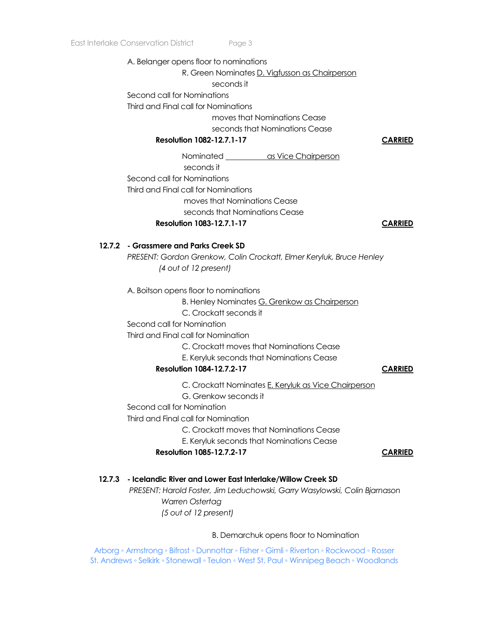A. Belanger opens floor to nominations R. Green Nominates D. Vigfusson as Chairperson seconds it Second call for Nominations Third and Final call for Nominations moves that Nominations Cease seconds that Nominations Cease **Resolution 1082-12.7.1-17 CARRIED** Nominated as Vice Chairperson seconds it Second call for Nominations Third and Final call for Nominations moves that Nominations Cease seconds that Nominations Cease **Resolution 1083-12.7.1-17 CARRIED 12.7.2 - Grassmere and Parks Creek SD** *PRESENT: Gordon Grenkow, Colin Crockatt, Elmer Keryluk, Bruce Henley (4 out of 12 present)*

A. Boitson opens floor to nominations

B. Henley Nominates G. Grenkow as Chairperson

C. Crockatt seconds it

Second call for Nomination

Third and Final call for Nomination

C. Crockatt moves that Nominations Cease

E. Keryluk seconds that Nominations Cease

## **Resolution 1084-12.7.2-17 CARRIED**

C. Crockatt Nominates E. Keryluk as Vice Chairperson

G. Grenkow seconds it

Second call for Nomination

Third and Final call for Nomination

C. Crockatt moves that Nominations Cease

E. Keryluk seconds that Nominations Cease

## **Resolution 1085-12.7.2-17 CARRIED**

## **12.7.3 - Icelandic River and Lower East Interlake/Willow Creek SD**

*PRESENT: Harold Foster, Jim Leduchowski, Garry Wasylowski, Colin Bjarnason Warren Ostertag (5 out of 12 present)*

B. Demarchuk opens floor to Nomination

Arborg ◦ Armstrong ◦ Bifrost ◦ Dunnottar ◦ Fisher ◦ Gimli ◦ Riverton ◦ Rockwood ◦ Rosser St. Andrews ◦ Selkirk ◦ Stonewall ◦ Teulon ◦ West St. Paul ◦ Winnipeg Beach ◦ Woodlands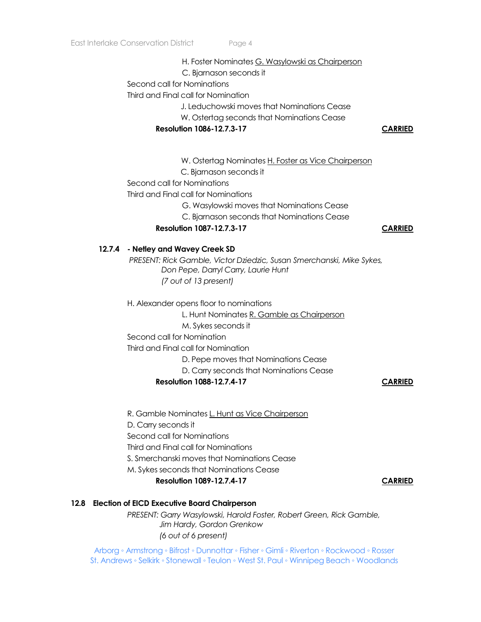#### H. Foster Nominates G. Wasylowski as Chairperson

C. Bjarnason seconds it

Second call for Nominations

Third and Final call for Nomination

J. Leduchowski moves that Nominations Cease

W. Ostertag seconds that Nominations Cease

**Resolution 1086-12.7.3-17 CARRIED**

W. Ostertag Nominates H. Foster as Vice Chairperson

C. Bjarnason seconds it

Second call for Nominations

Third and Final call for Nominations

G. Wasylowski moves that Nominations Cease

C. Bjarnason seconds that Nominations Cease

## **Resolution 1087-12.7.3-17 CARRIED**

## **12.7.4 - Netley and Wavey Creek SD**

*PRESENT: Rick Gamble, Victor Dziedzic, Susan Smerchanski, Mike Sykes, Don Pepe, Darryl Carry, Laurie Hunt (7 out of 13 present)*

H. Alexander opens floor to nominations

L. Hunt Nominates R. Gamble as Chairperson

M. Sykes seconds it

Second call for Nomination

Third and Final call for Nomination

D. Pepe moves that Nominations Cease

D. Carry seconds that Nominations Cease

## **Resolution 1088-12.7.4-17 CARRIED**

 R. Gamble Nominates L. Hunt as Vice Chairperson D. Carry seconds it Second call for Nominations Third and Final call for Nominations S. Smerchanski moves that Nominations Cease M. Sykes seconds that Nominations Cease

**Resolution 1089-12.7.4-17 CARRIED**

# **12.8 Election of EICD Executive Board Chairperson**

*PRESENT: Garry Wasylowski, Harold Foster, Robert Green, Rick Gamble, Jim Hardy, Gordon Grenkow (6 out of 6 present)*

Arborg ◦ Armstrong ◦ Bifrost ◦ Dunnottar ◦ Fisher ◦ Gimli ◦ Riverton ◦ Rockwood ◦ Rosser St. Andrews ◦ Selkirk ◦ Stonewall ◦ Teulon ◦ West St. Paul ◦ Winnipeg Beach ◦ Woodlands